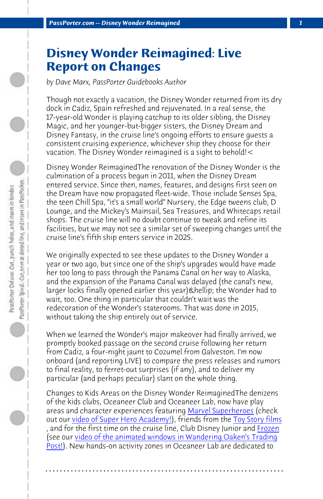*PassPorter.com -- Disney Wonder Reimagined 1*

## **Disney Wonder Reimagined: Live Report on Changes**

*by Dave Marx, PassPorter Guidebooks Author*

Though not exactly a vacation, the Disney Wonder returned from its dry dock in Cadiz, Spain refreshed and rejuvenated. In a real sense, the 17-year-old Wonder is playing catchup to its older sibling, the Disney Magic, and her younger-but-bigger sisters, the Disney Dream and Disney Fantasy, in the cruise line's ongoing efforts to ensure guests a consistent cruising experience, whichever ship they choose for their vacation. The Disney Wonder reimagined is a sight to behold!<

Disney Wonder ReimaginedThe renovation of the Disney Wonder is the culmination of a process begun in 2011, when the Disney Dream entered service. Since then, names, features, and designs first seen on the Dream have now propagated fleet-wide. Those include Senses Spa, the teen Chill Spa, "it's a small world" Nursery, the Edge tweens club, D Lounge, and the Mickey's Mainsail, Sea Treasures, and Whitecaps retail shops. The cruise line will no doubt continue to tweak and refine its facilities, but we may not see a similar set of sweeping changes until the cruise line's fifth ship enters service in 2025.

We originally expected to see these updates to the Disney Wonder a year or two ago, but since one of the ship's [upgrades would have](http://www.passporter.com/photos/disney-wonder-ship/p53824-oceaneer-lab-on-the-reimagined-disney-wonder.html) made her too [long to pass through the Panam](https://youtu.be/q-z8sjcquXU)a Canal on her w[ay to Alaska,](http://www.passporter.com/photos/disney-wonder-ship/p53822-oceaneer-lab-on-the-reimagined-disney-wonder.html) and the expansion of the Panama Canal was delayed (the canal's [new,](http://www.passporter.com/photos/disney-wonder-ship/p53823-oceaneer-lab-on-the-reimagined-disney-wonder.html) larger locks finally opened earlier this year) … the Wonder had to [wait,](https://youtu.be/KCIAKf76QRk) too. One thing in particular that couldn't wait was the redecoration of the Wonder's staterooms. That was done in 2015, without taking the ship entirely out of service.

When we learned the Wonder's major makeover had finally arrived, we promptly booked passage on the second cruise following her return from Cadiz, a four-night jaunt to Cozumel from Galveston. I'm now onboard (and reporting LIVE) to compare the press releases and rumors to final reality, to ferret-out surprises (if any), and to deliver my particular (and perhaps peculiar) slant on the whole thing.

Changes to Kids Areas on the Disney Wonder ReimaginedThe denizens of the kids clubs, Oceaneer Club and Oceaneer Lab, now have play areas and character experiences featuring Marvel Superheroes (check out our video of Super Hero Academy!), friends from the Toy Story films , and for the first time on the cruise line, Club Disney Junior and <u>Frozen</u> (see our video of the animated windows in Wandering Oaken's Trading Post!). New hands-on activity zones in Oceaneer Lab are dedicated to

**. . . . . . . . . . . . . . . . . . . . . . . . . . . . . . . . . . . . . . . . . . . . . . . . . . . . . . . . . . . . . . . . . .**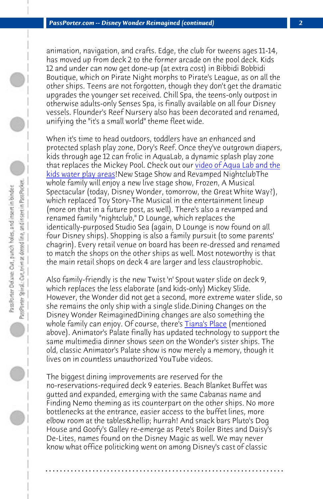*[PassPorter.com -- Disne](https://www.youtube.com/watch?v=_HRTtJpNdTw)y Wonder Reimagined (con[tinued\)](https://www.youtube.com/watch?v=_HRTtJpNdTw) 2*

animation, navigation, and crafts. Edge, the club for tweens ages 11-14, has moved up from deck 2 to the former arcade on the pool deck. Kids 12 and under can now get done-up (at extra cost) in Bibbidi Bobbidi Boutique, which on Pirate Night morphs to Pirate's League, as on all the other ships. Teens are not forgotten, though they don't get the dramatic upgrades the younger set received. Chill Spa, the teens-only outpost in otherwise adults-only Senses Spa, is finally available on all four Disney vessels. Flounder's Reef Nursery also has been decorated and renamed, unifying the "it's a small world" theme fleet wide.

When it's time to head outdoors, toddlers have an enhanced and protected splash play zone, Dory's Reef. Once they've outgrown diapers, kids through age 12 can frolic in AquaLab, a dynamic splash play zone that replaces the Mickey Pool. Check out our <u>video of Aqua Lab and the</u> kids water play areas!New Stage Show an[d Revamped N](http://www.passporterboards.com/blogs/index.php/2016/11/16/tianas-place-review-disney-wonder/)ightclubThe whole family will enjoy a new live stage show, Frozen, A Musical Spectacular (today, Disney Wonder, tomorrow, the Great White Way?), which replaced Toy Story-The Musical in the entertainment lineup (more on that in a future post, as well). There's also a revamped and renamed family "nightclub," D Lounge, which replaces the identically-purposed Studio Sea (again, D Lounge is now found on all four Disney ships). Shopping is also a family pursuit (to some parents' chagrin). Every retail venue on board has been re-dressed and renamed to match the shops on the other ships as well. Most noteworthy is that the main retail shops on deck 4 are larger and less claustrophobic.

Also family-friendly is the new Twist 'n' Spout water slide on deck 9, which replaces the less elaborate (and kids-only) Mickey Slide. However, the Wonder did not get a second, more extreme water slide, so she remains the only ship with a single slide.Dining Changes on the Disney Wonder ReimaginedDining changes are also something the whole family can enjoy. Of course, there's **Tiana's Place** (mentioned above). Animator's Palate finally has updated technology to support the same multimedia dinner shows seen on the Wonder's sister ships. The old, classic Animator's Palate show is now merely a memory, though it lives on in countless unauthorized YouTube videos.

The biggest dining improvements are reserved for the no-reservations-required deck 9 eateries. Beach Blanket Buffet was gutted and expanded, emerging with the same Cabanas name and Finding Nemo theming as its counterpart on the other ships. No more bottlenecks at the entrance, easier access to the buffet lines, more elbow room at the tables & hellip; hurrah! And snack bars Pluto's Dog House and Goofy's Galley re-emerge as Pete's Boiler Bites and Daisy's De-Lites, names found on the Disney Magic as well. We may never know what office politicking went on among Disney's cast of classic

**. . . . . . . . . . . . . . . . . . . . . . . . . . . . . . . . . . . . . . . . . . . . . . . . . . . . . . . . . . . . . . . . . .**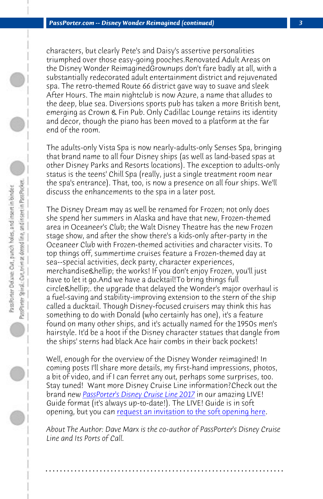*PassPorter.com -- Disney Wonder Reimagined (continued) 3*

characters, but clearly Pete's and Daisy's assertive personalities triumphed over those easy-going pooches.Renovated Adult Areas on the Disney Wonder ReimaginedGrownups don't fare badly at all, with a substantially redecorated adult entertainment district and rejuvenated spa. The retro-themed Route 66 district gave way to suave and sleek After Hours. The main nightclub is now Azure, a name that alludes to the deep, blue sea. Diversions sports pub has taken a more British bent, emerging as Crown & Fin Pub. Only Cadillac Lounge retains its identity and decor, though the piano has been moved to a platform at the far end of the room.

The adults-only Vista Spa is now nearly-adults-only Senses Spa, bringing that brand name to all four Disney ships (as well as land-based spas at other Disney Parks and Resorts locations). The exception to adults-only status is the teens' Chill Spa (really, just a single treatment room near the spa's entrance). That, too, is now a presence on all four ships. We'll discuss the enhancements to the spa in a later post.

The Disney Dream may as well be renamed for Frozen; not only does she spend her summers in Alaska and have that new, Frozen-themed area in Oceaneer's Club; the Walt Disney Theatre has the new Frozen stage show, and after the show there's a kids-only after-party in the Oceaneer [Club with Frozen-themed activities](http://www.passporter.com/disney-cruise-line-guidebook.php) and character visits. To top things off, summertime cruises feature a Frozen-themed day at sea--special activitie[s, deck party, character experiences,](http://www.passporter.com/disney-cruise-line-guidebook.php) merchandise & hellip; the works! If you don't enjoy Frozen, you'll just have to let it go.And we have a ducktail!To bring things full circle & hellip; the upgrade that delayed the Wonder's major overhaul is a fuel-saving and stability-improving extension to the stern of the ship called a ducktail. Though Disney-focused cruisers may think this has something to do with Donald (who certainly has one), it's a feature found on many other ships, and it's actually named for the 1950s men's hairstyle. It'd be a hoot if the Disney character statues that dangle from the ships' sterns had black Ace hair combs in their back pockets!

Well, enough for the overview of the Disney Wonder reimagined! In coming posts I'll share more details, my first-hand impressions, photos, a bit of video, and if I can ferret any out, perhaps some surprises, too. Stay tuned! Want more Disney Cruise Line information? Check out the brand new *PassPorter's Disney Cruise Line 2017* in our amazing LIVE! Guide format (it's always up-to-date!). The LIVE! Guide is in soft opening, but you can request an invitation to the soft opening here.

*About The Author: Dave Marx is the co-author of PassPorter's Disney Cruise Line and Its Ports of Call.*

**. . . . . . . . . . . . . . . . . . . . . . . . . . . . . . . . . . . . . . . . . . . . . . . . . . . . . . . . . . . . . . . . . .**